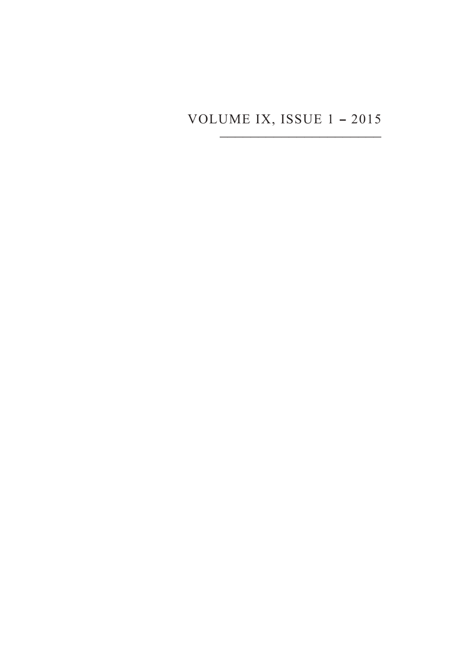## VOLUME IX, ISSUE 1 **–**<sup>2015</sup> \_\_\_\_\_\_\_\_\_\_\_\_\_\_\_\_\_\_\_\_\_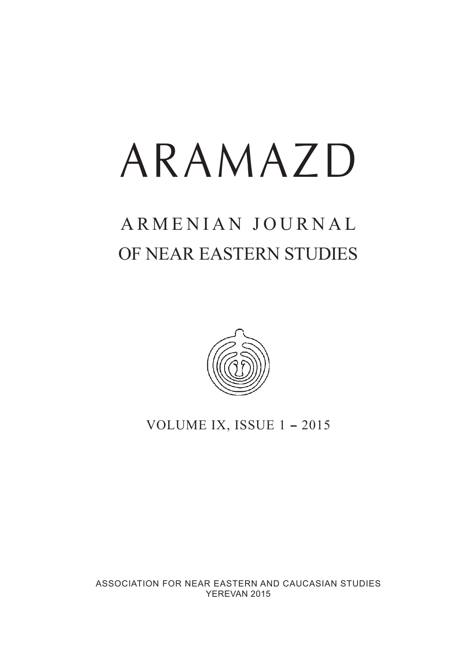# ARAMAZD

## ARMENIAN JOURNAL OF NEAR EASTERN STUDIES



VOLUME IX, ISSUE 1 **–** 2015

ASSOCIATION FOR NEAR EASTERN AND CAUCASIAN STUDIES YEREVAN 2015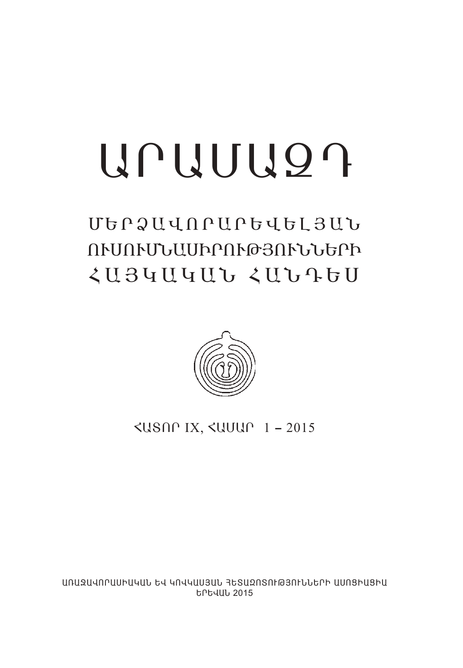# $UUUU9$

# غðÒ²ìàð²ðºìºÈÚ²Ü ՈՒՄՈՒՄՆԱՍԻՐՈՒԹՅՈՒՆՆԵՐԻ  $\langle U34U4UU \rangle$



вîàð IX, вزð 1 **–** 2015

UNUՁUՎՈՐԱՍԻԱԿԱՆ ԵՎ ԿՈՎԿԱՍՅԱՆ ՅԵՏԱՁՈՏՈՒԹՅՈՒՆՆԵՐԻ ԱՍՈՑԻԱՑԻԱ **EPEJUL 2015**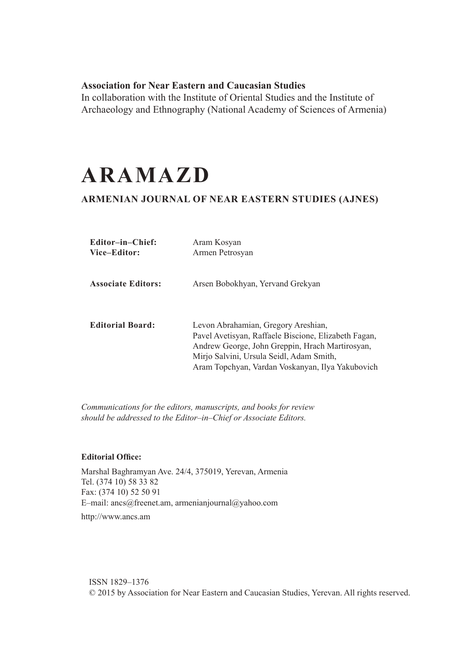#### **Association for Near Eastern and Caucasian Studies**

In collaboration with the Institute of Oriental Studies and the Institute of Archaeology and Ethnography (National Academy of Sciences of Armenia)

## **ARAMAZD**

#### **ARMENIAN JOURNAL OF NEAR EASTERN STUDIES (AJNES)**

| Editor-in-Chief:<br>Vice-Editor: | Aram Kosyan<br>Armen Petrosyan                                                                                                                                                                                                                 |
|----------------------------------|------------------------------------------------------------------------------------------------------------------------------------------------------------------------------------------------------------------------------------------------|
| <b>Associate Editors:</b>        | Arsen Bobokhyan, Yervand Grekyan                                                                                                                                                                                                               |
| <b>Editorial Board:</b>          | Levon Abrahamian, Gregory Areshian,<br>Pavel Avetisyan, Raffaele Biscione, Elizabeth Fagan,<br>Andrew George, John Greppin, Hrach Martirosyan,<br>Mirjo Salvini, Ursula Seidl, Adam Smith,<br>Aram Topchyan, Vardan Voskanyan, Ilya Yakubovich |

*Communications for the editors, manuscripts, and books for review should be addressed to the Editor–in–Chief or Associate Editors.*

#### **Editorial Office:**

Marshal Baghramyan Ave. 24/4, 375019, Yerevan, Armenia Tel. (374 10) 58 33 82 Fax: (374 10) 52 50 91 E–mail: ancs@freenet.am, armenianjournal@yahoo.com http://www.ancs.am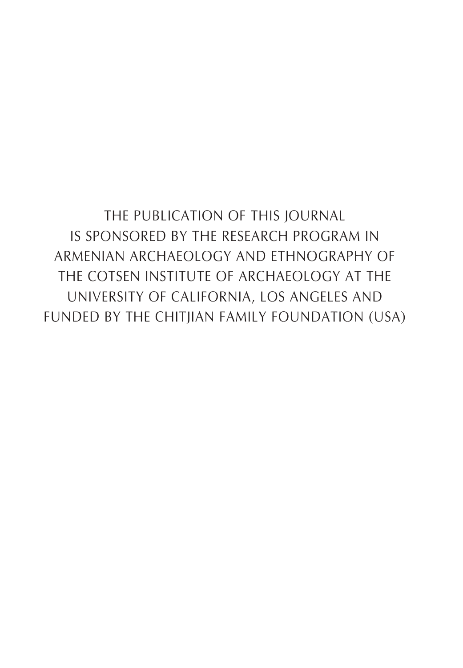The Publication of this journal is sponsored by the Research Program in Armenian Archaeology and Ethnography of the Cotsen Institute of Archaeology at the University of California, Los Angeles and funded by the Chitjian Family Foundation (USA)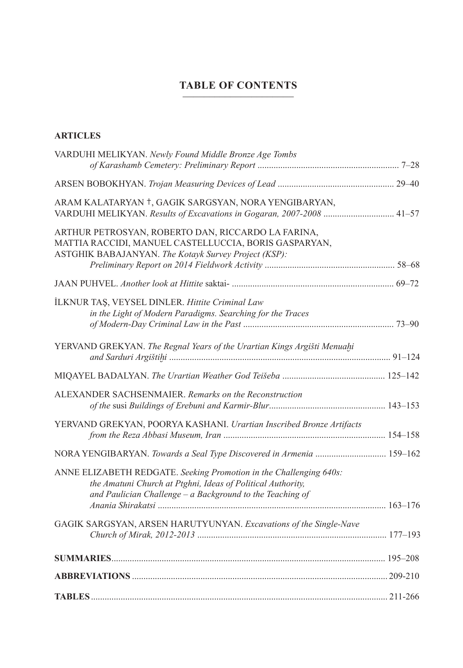### **TABLE OF CONTENTS** \_\_\_\_\_\_\_\_\_\_\_\_\_\_\_\_\_\_\_\_\_

#### **ARTICLES**

| VARDUHI MELIKYAN. Newly Found Middle Bronze Age Tombs                                                                                                                                            |  |
|--------------------------------------------------------------------------------------------------------------------------------------------------------------------------------------------------|--|
|                                                                                                                                                                                                  |  |
| ARAM KALATARYAN †, GAGIK SARGSYAN, NORA YENGIBARYAN,<br>VARDUHI MELIKYAN. Results of Excavations in Gogaran, 2007-2008  41-57                                                                    |  |
| ARTHUR PETROSYAN, ROBERTO DAN, RICCARDO LA FARINA,<br>MATTIA RACCIDI, MANUEL CASTELLUCCIA, BORIS GASPARYAN,<br>ASTGHIK BABAJANYAN. The Kotayk Survey Project (KSP):                              |  |
|                                                                                                                                                                                                  |  |
| İLKNUR TAŞ, VEYSEL DINLER. Hittite Criminal Law<br>in the Light of Modern Paradigms. Searching for the Traces                                                                                    |  |
| YERVAND GREKYAN. The Regnal Years of the Urartian Kings Argišti Menuahi                                                                                                                          |  |
|                                                                                                                                                                                                  |  |
| ALEXANDER SACHSENMAIER. Remarks on the Reconstruction                                                                                                                                            |  |
| YERVAND GREKYAN, POORYA KASHANI. Urartian Inscribed Bronze Artifacts                                                                                                                             |  |
| NORA YENGIBARYAN. Towards a Seal Type Discovered in Armenia  159-162                                                                                                                             |  |
| ANNE ELIZABETH REDGATE. Seeking Promotion in the Challenging 640s:<br>the Amatuni Church at Ptghni, Ideas of Political Authority,<br>and Paulician Challenge $-$ a Background to the Teaching of |  |
|                                                                                                                                                                                                  |  |
| GAGIK SARGSYAN, ARSEN HARUTYUNYAN. Excavations of the Single-Nave                                                                                                                                |  |
|                                                                                                                                                                                                  |  |
|                                                                                                                                                                                                  |  |
|                                                                                                                                                                                                  |  |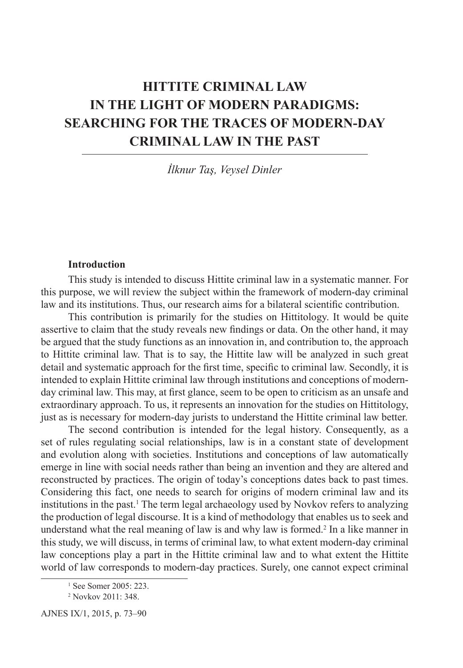### **HITTITE CRIMINAL LAW IN THE LIGHT OF MODERN PARADIGMS: SEARCHING FOR THE TRACES OF MODERN-DAY CRIMINAL LAW IN THE PAST**

*İlknur Taş, Veysel Dinler*

#### **Introduction**

This study is intended to discuss Hittite criminal law in a systematic manner. For this purpose, we will review the subject within the framework of modern-day criminal law and its institutions. Thus, our research aims for a bilateral scientific contribution.

This contribution is primarily for the studies on Hittitology. It would be quite assertive to claim that the study reveals new findings or data. On the other hand, it may be argued that the study functions as an innovation in, and contribution to, the approach to Hittite criminal law. That is to say, the Hittite law will be analyzed in such great detail and systematic approach for the first time, specific to criminal law. Secondly, it is intended to explain Hittite criminal law through institutions and conceptions of modernday criminal law. This may, at first glance, seem to be open to criticism as an unsafe and extraordinary approach. To us, it represents an innovation for the studies on Hittitology, just as is necessary for modern-day jurists to understand the Hittite criminal law better.

The second contribution is intended for the legal history. Consequently, as a set of rules regulating social relationships, law is in a constant state of development and evolution along with societies. Institutions and conceptions of law automatically emerge in line with social needs rather than being an invention and they are altered and reconstructed by practices. The origin of today's conceptions dates back to past times. Considering this fact, one needs to search for origins of modern criminal law and its institutions in the past.<sup>1</sup> The term legal archaeology used by Novkov refers to analyzing the production of legal discourse. It is a kind of methodology that enables us to seek and understand what the real meaning of law is and why law is formed.<sup>2</sup> In a like manner in this study, we will discuss, in terms of criminal law, to what extent modern-day criminal law conceptions play a part in the Hittite criminal law and to what extent the Hittite world of law corresponds to modern-day practices. Surely, one cannot expect criminal

AJNES IX/1, 2015, p. 73–90

<sup>1</sup> See Somer 2005: 223.

<sup>2</sup> Novkov 2011: 348.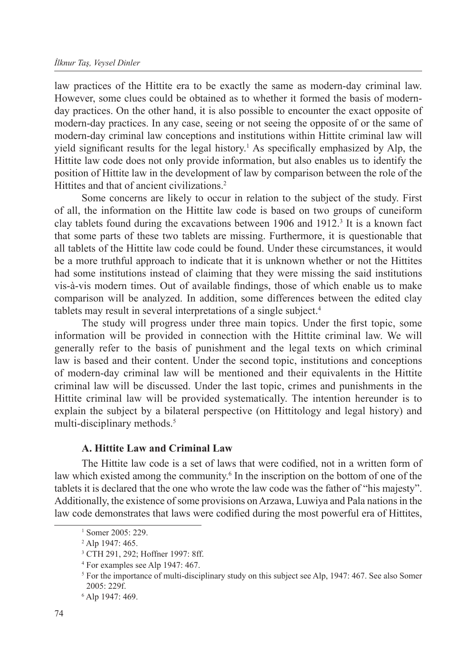law practices of the Hittite era to be exactly the same as modern-day criminal law. However, some clues could be obtained as to whether it formed the basis of modernday practices. On the other hand, it is also possible to encounter the exact opposite of modern-day practices. In any case, seeing or not seeing the opposite of or the same of modern-day criminal law conceptions and institutions within Hittite criminal law will yield significant results for the legal history.<sup>1</sup> As specifically emphasized by Alp, the Hittite law code does not only provide information, but also enables us to identify the position of Hittite law in the development of law by comparison between the role of the Hittites and that of ancient civilizations.<sup>2</sup>

Some concerns are likely to occur in relation to the subject of the study. First of all, the information on the Hittite law code is based on two groups of cuneiform clay tablets found during the excavations between 1906 and 1912.3 It is a known fact that some parts of these two tablets are missing. Furthermore, it is questionable that all tablets of the Hittite law code could be found. Under these circumstances, it would be a more truthful approach to indicate that it is unknown whether or not the Hittites had some institutions instead of claiming that they were missing the said institutions vis-à-vis modern times. Out of available findings, those of which enable us to make comparison will be analyzed. In addition, some differences between the edited clay tablets may result in several interpretations of a single subject.4

The study will progress under three main topics. Under the first topic, some information will be provided in connection with the Hittite criminal law. We will generally refer to the basis of punishment and the legal texts on which criminal law is based and their content. Under the second topic, institutions and conceptions of modern-day criminal law will be mentioned and their equivalents in the Hittite criminal law will be discussed. Under the last topic, crimes and punishments in the Hittite criminal law will be provided systematically. The intention hereunder is to explain the subject by a bilateral perspective (on Hittitology and legal history) and multi-disciplinary methods.<sup>5</sup>

#### **A. Hittite Law and Criminal Law**

The Hittite law code is a set of laws that were codified, not in a written form of law which existed among the community.<sup>6</sup> In the inscription on the bottom of one of the tablets it is declared that the one who wrote the law code was the father of "his majesty". Additionally, the existence of some provisions on Arzawa, Luwiya and Pala nations in the law code demonstrates that laws were codified during the most powerful era of Hittites,

<sup>&</sup>lt;sup>1</sup> Somer 2005: 229.

<sup>2</sup> Alp 1947: 465.

<sup>3</sup> CTH 291, 292; Hoffner 1997: 8ff.

<sup>4</sup> For examples see Alp 1947: 467.

<sup>&</sup>lt;sup>5</sup> For the importance of multi-disciplinary study on this subject see Alp, 1947: 467. See also Somer 2005: 229f.

<sup>6</sup> Alp 1947: 469.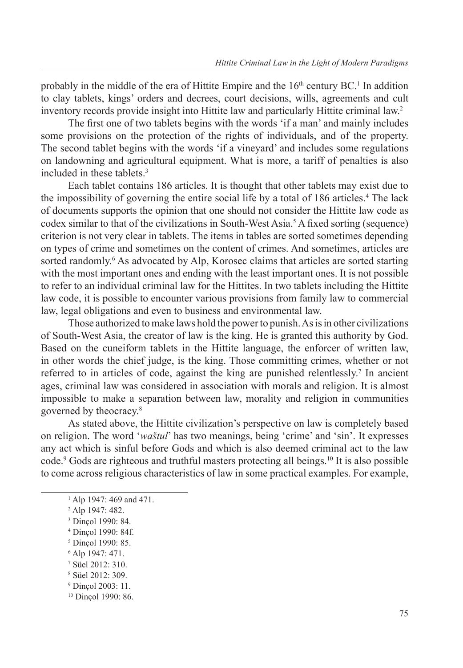probably in the middle of the era of Hittite Empire and the  $16<sup>th</sup>$  century BC.<sup>1</sup> In addition to clay tablets, kings' orders and decrees, court decisions, wills, agreements and cult inventory records provide insight into Hittite law and particularly Hittite criminal law.2

The first one of two tablets begins with the words 'if a man' and mainly includes some provisions on the protection of the rights of individuals, and of the property. The second tablet begins with the words 'if a vineyard' and includes some regulations on landowning and agricultural equipment. What is more, a tariff of penalties is also included in these tablets.3

Each tablet contains 186 articles. It is thought that other tablets may exist due to the impossibility of governing the entire social life by a total of 186 articles.<sup>4</sup> The lack of documents supports the opinion that one should not consider the Hittite law code as codex similar to that of the civilizations in South-West Asia.<sup>5</sup> A fixed sorting (sequence) criterion is not very clear in tablets. The items in tables are sorted sometimes depending on types of crime and sometimes on the content of crimes. And sometimes, articles are sorted randomly.<sup>6</sup> As advocated by Alp, Korosec claims that articles are sorted starting with the most important ones and ending with the least important ones. It is not possible to refer to an individual criminal law for the Hittites. In two tablets including the Hittite law code, it is possible to encounter various provisions from family law to commercial law, legal obligations and even to business and environmental law.

Those authorized to make laws hold the power to punish. As is in other civilizations of South-West Asia, the creator of law is the king. He is granted this authority by God. Based on the cuneiform tablets in the Hittite language, the enforcer of written law, in other words the chief judge, is the king. Those committing crimes, whether or not referred to in articles of code, against the king are punished relentlessly.<sup>7</sup> In ancient ages, criminal law was considered in association with morals and religion. It is almost impossible to make a separation between law, morality and religion in communities governed by theocracy.8

As stated above, the Hittite civilization's perspective on law is completely based on religion. The word '*waštul*' has two meanings, being 'crime' and 'sin'. It expresses any act which is sinful before Gods and which is also deemed criminal act to the law code.9 Gods are righteous and truthful masters protecting all beings.10 It is also possible to come across religious characteristics of law in some practical examples. For example,

- <sup>5</sup> Dinçol 1990: 85.
- <sup>6</sup> Alp 1947: 471.
- <sup>7</sup> Süel 2012: 310.

- <sup>9</sup> Dinçol 2003: 11.
- <sup>10</sup> Dinçol 1990: 86.

<sup>1</sup> Alp 1947: 469 and 471.

<sup>2</sup> Alp 1947: 482.

<sup>3</sup> Dinçol 1990: 84.

<sup>4</sup> Dinçol 1990: 84f.

<sup>8</sup> Süel 2012: 309.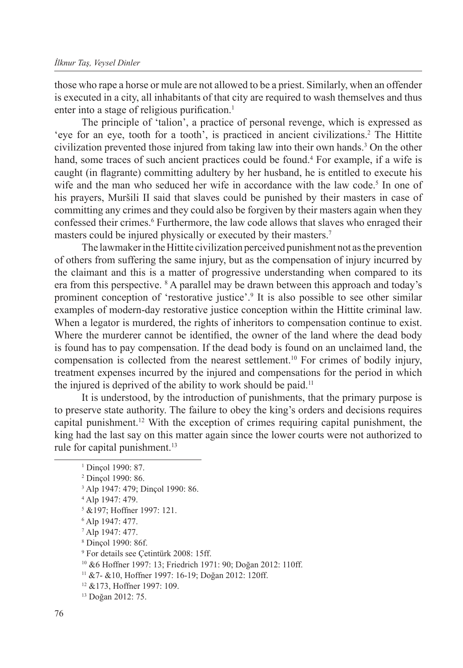those who rape a horse or mule are not allowed to be a priest. Similarly, when an offender is executed in a city, all inhabitants of that city are required to wash themselves and thus enter into a stage of religious purification.<sup>1</sup>

The principle of 'talion', a practice of personal revenge, which is expressed as 'eye for an eye, tooth for a tooth', is practiced in ancient civilizations.<sup>2</sup> The Hittite civilization prevented those injured from taking law into their own hands.3 On the other hand, some traces of such ancient practices could be found.<sup>4</sup> For example, if a wife is caught (in flagrante) committing adultery by her husband, he is entitled to execute his wife and the man who seduced her wife in accordance with the law code.<sup>5</sup> In one of his prayers, Muršili II said that slaves could be punished by their masters in case of committing any crimes and they could also be forgiven by their masters again when they confessed their crimes.<sup>6</sup> Furthermore, the law code allows that slaves who enraged their masters could be injured physically or executed by their masters.<sup>7</sup>

The lawmaker in the Hittite civilization perceived punishment not as the prevention of others from suffering the same injury, but as the compensation of injury incurred by the claimant and this is a matter of progressive understanding when compared to its era from this perspective. <sup>8</sup> A parallel may be drawn between this approach and today's prominent conception of 'restorative justice'.<sup>9</sup> It is also possible to see other similar examples of modern-day restorative justice conception within the Hittite criminal law. When a legator is murdered, the rights of inheritors to compensation continue to exist. Where the murderer cannot be identified, the owner of the land where the dead body is found has to pay compensation. If the dead body is found on an unclaimed land, the compensation is collected from the nearest settlement.10 For crimes of bodily injury, treatment expenses incurred by the injured and compensations for the period in which the injured is deprived of the ability to work should be paid.<sup>11</sup>

It is understood, by the introduction of punishments, that the primary purpose is to preserve state authority. The failure to obey the king's orders and decisions requires capital punishment.<sup>12</sup> With the exception of crimes requiring capital punishment, the king had the last say on this matter again since the lower courts were not authorized to rule for capital punishment.<sup>13</sup>

- <sup>5</sup> &197; Hoffner 1997: 121.
- <sup>6</sup> Alp 1947: 477.
- <sup>7</sup> Alp 1947: 477.
- <sup>8</sup> Dinçol 1990: 86f.

- <sup>11</sup> &7- &10, Hoffner 1997: 16-19; Doğan 2012: 120ff.
- <sup>12</sup> &173, Hoffner 1997: 109.

<sup>&</sup>lt;sup>1</sup> Dincol 1990: 87.

<sup>2</sup> Dinçol 1990: 86.

<sup>3</sup> Alp 1947: 479; Dinçol 1990: 86.

<sup>4</sup> Alp 1947: 479.

<sup>9</sup> For details see Çetintürk 2008: 15ff.

<sup>10</sup> &6 Hoffner 1997: 13; Friedrich 1971: 90; Doğan 2012: 110ff.

<sup>13</sup> Doğan 2012: 75.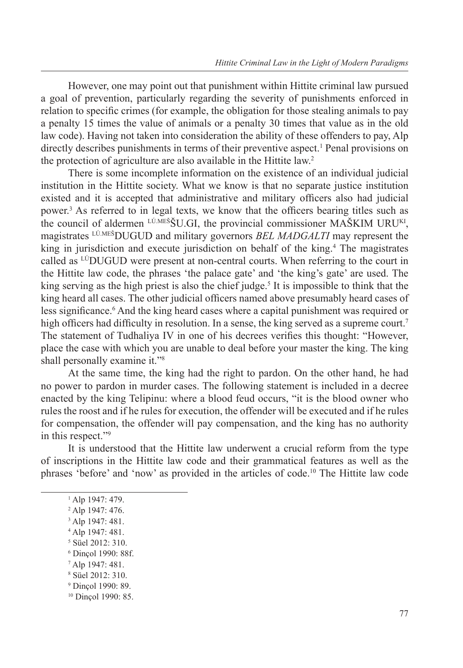However, one may point out that punishment within Hittite criminal law pursued a goal of prevention, particularly regarding the severity of punishments enforced in relation to specific crimes (for example, the obligation for those stealing animals to pay a penalty 15 times the value of animals or a penalty 30 times that value as in the old law code). Having not taken into consideration the ability of these offenders to pay, Alp directly describes punishments in terms of their preventive aspect.<sup>1</sup> Penal provisions on the protection of agriculture are also available in the Hittite law.<sup>2</sup>

There is some incomplete information on the existence of an individual judicial institution in the Hittite society. What we know is that no separate justice institution existed and it is accepted that administrative and military officers also had judicial power.3 As referred to in legal texts, we know that the officers bearing titles such as the council of aldermen  $L^{U.MES}$ SU.GI, the provincial commissioner MASKIM URU<sup>KI</sup>, magistrates LÚ.MEŠDUGUD and military governors *BEL MADGALTI* may represent the king in jurisdiction and execute jurisdiction on behalf of the king.<sup>4</sup> The magistrates called as LÚDUGUD were present at non-central courts. When referring to the court in the Hittite law code, the phrases 'the palace gate' and 'the king's gate' are used. The king serving as the high priest is also the chief judge.<sup>5</sup> It is impossible to think that the king heard all cases. The other judicial officers named above presumably heard cases of less significance.<sup>6</sup> And the king heard cases where a capital punishment was required or high officers had difficulty in resolution. In a sense, the king served as a supreme court.<sup>7</sup> The statement of Tudhaliya IV in one of his decrees verifies this thought: "However, place the case with which you are unable to deal before your master the king. The king shall personally examine it."8

At the same time, the king had the right to pardon. On the other hand, he had no power to pardon in murder cases. The following statement is included in a decree enacted by the king Telipinu: where a blood feud occurs, "it is the blood owner who rules the roost and if he rules for execution, the offender will be executed and if he rules for compensation, the offender will pay compensation, and the king has no authority in this respect."9

It is understood that the Hittite law underwent a crucial reform from the type of inscriptions in the Hittite law code and their grammatical features as well as the phrases 'before' and 'now' as provided in the articles of code.10 The Hittite law code

- <sup>4</sup> Alp 1947: 481.
- 5 Süel 2012: 310.
- <sup>6</sup> Dinçol 1990: 88f.
- <sup>7</sup> Alp 1947: 481.

<sup>9</sup> Dinçol 1990: 89.

<sup>1</sup> Alp 1947: 479.

<sup>2</sup> Alp 1947: 476.

<sup>3</sup> Alp 1947: 481.

<sup>8</sup> Süel 2012: 310.

<sup>&</sup>lt;sup>10</sup> Dinçol 1990: 85.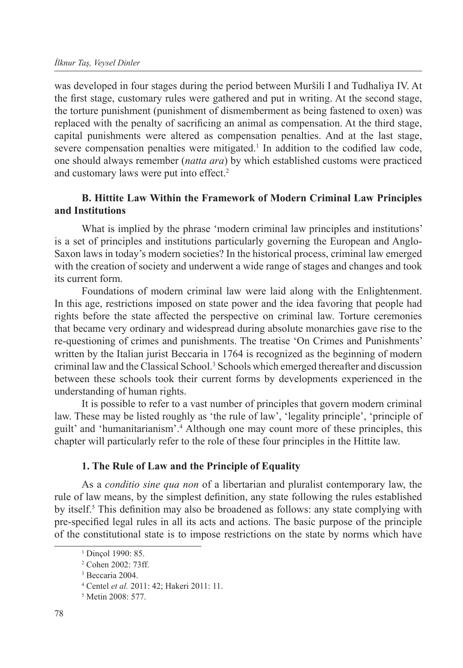was developed in four stages during the period between Muršili I and Tudhaliya IV. At the first stage, customary rules were gathered and put in writing. At the second stage, the torture punishment (punishment of dismemberment as being fastened to oxen) was replaced with the penalty of sacrificing an animal as compensation. At the third stage, capital punishments were altered as compensation penalties. And at the last stage, severe compensation penalties were mitigated.<sup>1</sup> In addition to the codified law code, one should always remember (*natta ara*) by which established customs were practiced and customary laws were put into effect.<sup>2</sup>

#### **B. Hittite Law Within the Framework of Modern Criminal Law Principles and Institutions**

What is implied by the phrase 'modern criminal law principles and institutions' is a set of principles and institutions particularly governing the European and Anglo-Saxon laws in today's modern societies? In the historical process, criminal law emerged with the creation of society and underwent a wide range of stages and changes and took its current form.

Foundations of modern criminal law were laid along with the Enlightenment. In this age, restrictions imposed on state power and the idea favoring that people had rights before the state affected the perspective on criminal law. Torture ceremonies that became very ordinary and widespread during absolute monarchies gave rise to the re-questioning of crimes and punishments. The treatise 'On Crimes and Punishments' written by the Italian jurist Beccaria in 1764 is recognized as the beginning of modern criminal law and the Classical School.3 Schools which emerged thereafter and discussion between these schools took their current forms by developments experienced in the understanding of human rights.

It is possible to refer to a vast number of principles that govern modern criminal law. These may be listed roughly as 'the rule of law', 'legality principle', 'principle of guilt' and 'humanitarianism'.<sup>4</sup> Although one may count more of these principles, this chapter will particularly refer to the role of these four principles in the Hittite law.

#### **1. The Rule of Law and the Principle of Equality**

As a *conditio sine qua non* of a libertarian and pluralist contemporary law, the rule of law means, by the simplest definition, any state following the rules established by itself.<sup>5</sup> This definition may also be broadened as follows: any state complying with pre-specified legal rules in all its acts and actions. The basic purpose of the principle of the constitutional state is to impose restrictions on the state by norms which have

<sup>1</sup> Dinçol 1990: 85.

<sup>2</sup> Cohen 2002: 73ff.

<sup>3</sup> Beccaria 2004.

<sup>4</sup> Centel *et al.* 2011: 42; Hakeri 2011: 11.

<sup>5</sup> Metin 2008: 577.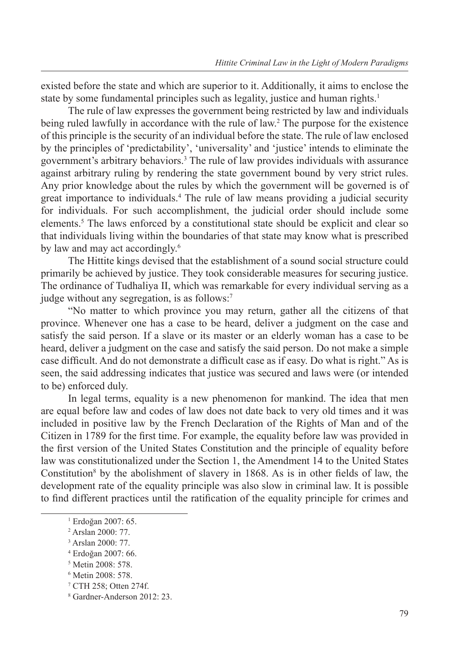existed before the state and which are superior to it. Additionally, it aims to enclose the state by some fundamental principles such as legality, justice and human rights.<sup>1</sup>

The rule of law expresses the government being restricted by law and individuals being ruled lawfully in accordance with the rule of law.<sup>2</sup> The purpose for the existence of this principle is the security of an individual before the state. The rule of law enclosed by the principles of 'predictability', 'universality' and 'justice' intends to eliminate the government's arbitrary behaviors.3 The rule of law provides individuals with assurance against arbitrary ruling by rendering the state government bound by very strict rules. Any prior knowledge about the rules by which the government will be governed is of great importance to individuals.4 The rule of law means providing a judicial security for individuals. For such accomplishment, the judicial order should include some elements.<sup>5</sup> The laws enforced by a constitutional state should be explicit and clear so that individuals living within the boundaries of that state may know what is prescribed by law and may act accordingly.<sup>6</sup>

The Hittite kings devised that the establishment of a sound social structure could primarily be achieved by justice. They took considerable measures for securing justice. The ordinance of Tudhaliya II, which was remarkable for every individual serving as a judge without any segregation, is as follows:7

"No matter to which province you may return, gather all the citizens of that province. Whenever one has a case to be heard, deliver a judgment on the case and satisfy the said person. If a slave or its master or an elderly woman has a case to be heard, deliver a judgment on the case and satisfy the said person. Do not make a simple case difficult. And do not demonstrate a difficult case as if easy. Do what is right." As is seen, the said addressing indicates that justice was secured and laws were (or intended to be) enforced duly.

In legal terms, equality is a new phenomenon for mankind. The idea that men are equal before law and codes of law does not date back to very old times and it was included in positive law by the French Declaration of the Rights of Man and of the Citizen in 1789 for the first time. For example, the equality before law was provided in the first version of the United States Constitution and the principle of equality before law was constitutionalized under the Section 1, the Amendment 14 to the United States Constitution<sup>8</sup> by the abolishment of slavery in 1868. As is in other fields of law, the development rate of the equality principle was also slow in criminal law. It is possible to find different practices until the ratification of the equality principle for crimes and

<sup>1</sup> Erdoğan 2007: 65.

<sup>2</sup> Arslan 2000: 77.

<sup>3</sup> Arslan 2000: 77.

<sup>4</sup> Erdoğan 2007: 66.

<sup>5</sup> Metin 2008: 578.

<sup>6</sup> Metin 2008: 578.

<sup>7</sup> CTH 258; Otten 274f.

<sup>8</sup> Gardner-Anderson 2012: 23.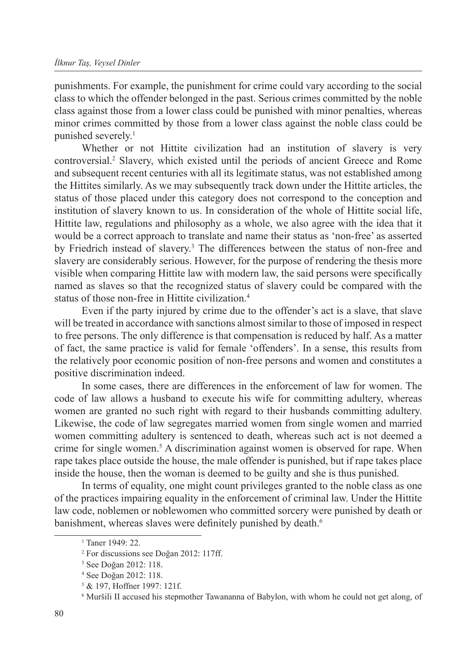punishments. For example, the punishment for crime could vary according to the social class to which the offender belonged in the past. Serious crimes committed by the noble class against those from a lower class could be punished with minor penalties, whereas minor crimes committed by those from a lower class against the noble class could be punished severely.<sup>1</sup>

Whether or not Hittite civilization had an institution of slavery is very controversial.2 Slavery, which existed until the periods of ancient Greece and Rome and subsequent recent centuries with all its legitimate status, was not established among the Hittites similarly. As we may subsequently track down under the Hittite articles, the status of those placed under this category does not correspond to the conception and institution of slavery known to us. In consideration of the whole of Hittite social life, Hittite law, regulations and philosophy as a whole, we also agree with the idea that it would be a correct approach to translate and name their status as 'non-free' as asserted by Friedrich instead of slavery.<sup>3</sup> The differences between the status of non-free and slavery are considerably serious. However, for the purpose of rendering the thesis more visible when comparing Hittite law with modern law, the said persons were specifically named as slaves so that the recognized status of slavery could be compared with the status of those non-free in Hittite civilization.<sup>4</sup>

Even if the party injured by crime due to the offender's act is a slave, that slave will be treated in accordance with sanctions almost similar to those of imposed in respect to free persons. The only difference is that compensation is reduced by half. As a matter of fact, the same practice is valid for female 'offenders'. In a sense, this results from the relatively poor economic position of non-free persons and women and constitutes a positive discrimination indeed.

In some cases, there are differences in the enforcement of law for women. The code of law allows a husband to execute his wife for committing adultery, whereas women are granted no such right with regard to their husbands committing adultery. Likewise, the code of law segregates married women from single women and married women committing adultery is sentenced to death, whereas such act is not deemed a crime for single women.5 A discrimination against women is observed for rape. When rape takes place outside the house, the male offender is punished, but if rape takes place inside the house, then the woman is deemed to be guilty and she is thus punished.

In terms of equality, one might count privileges granted to the noble class as one of the practices impairing equality in the enforcement of criminal law. Under the Hittite law code, noblemen or noblewomen who committed sorcery were punished by death or banishment, whereas slaves were definitely punished by death.<sup>6</sup>

<sup>1</sup> Taner 1949: 22.

<sup>2</sup> For discussions see Doğan 2012: 117ff.

<sup>3</sup> See Doğan 2012: 118.

<sup>4</sup> See Doğan 2012: 118.

<sup>5</sup> & 197, Hoffner 1997: 121f.

<sup>6</sup> Muršili II accused his stepmother Tawananna of Babylon, with whom he could not get along, of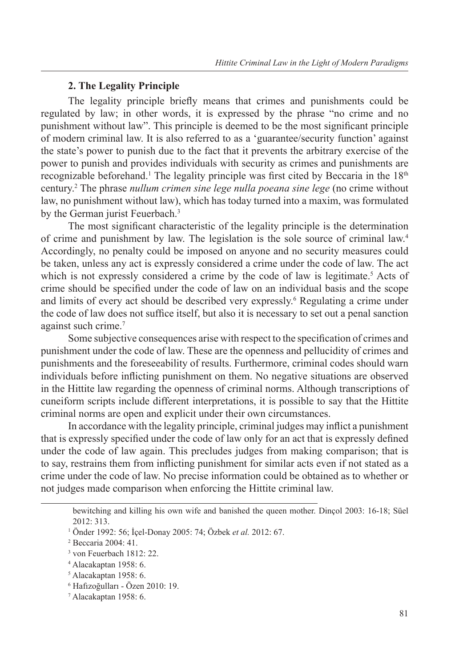#### **2. The Legality Principle**

The legality principle briefly means that crimes and punishments could be regulated by law; in other words, it is expressed by the phrase "no crime and no punishment without law". This principle is deemed to be the most significant principle of modern criminal law. It is also referred to as a 'guarantee/security function' against the state's power to punish due to the fact that it prevents the arbitrary exercise of the power to punish and provides individuals with security as crimes and punishments are recognizable beforehand.<sup>1</sup> The legality principle was first cited by Beccaria in the 18<sup>th</sup> century.2 The phrase *nullum crimen sine lege nulla poeana sine lege* (no crime without law, no punishment without law), which has today turned into a maxim, was formulated by the German jurist Feuerbach.<sup>3</sup>

The most significant characteristic of the legality principle is the determination of crime and punishment by law. The legislation is the sole source of criminal law.4 Accordingly, no penalty could be imposed on anyone and no security measures could be taken, unless any act is expressly considered a crime under the code of law. The act which is not expressly considered a crime by the code of law is legitimate.<sup>5</sup> Acts of crime should be specified under the code of law on an individual basis and the scope and limits of every act should be described very expressly.<sup>6</sup> Regulating a crime under the code of law does not suffice itself, but also it is necessary to set out a penal sanction against such crime.7

Some subjective consequences arise with respect to the specification of crimes and punishment under the code of law. These are the openness and pellucidity of crimes and punishments and the foreseeability of results. Furthermore, criminal codes should warn individuals before inflicting punishment on them. No negative situations are observed in the Hittite law regarding the openness of criminal norms. Although transcriptions of cuneiform scripts include different interpretations, it is possible to say that the Hittite criminal norms are open and explicit under their own circumstances.

In accordance with the legality principle, criminal judges may inflict a punishment that is expressly specified under the code of law only for an act that is expressly defined under the code of law again. This precludes judges from making comparison; that is to say, restrains them from inflicting punishment for similar acts even if not stated as a crime under the code of law. No precise information could be obtained as to whether or not judges made comparison when enforcing the Hittite criminal law.

bewitching and killing his own wife and banished the queen mother. Dinçol 2003: 16-18; Süel 2012: 313.

<sup>1</sup> Önder 1992: 56; İçel-Donay 2005: 74; Özbek *et al.* 2012: 67.

<sup>2</sup> Beccaria 2004: 41.

<sup>3</sup> von Feuerbach 1812: 22.

<sup>4</sup> Alacakaptan 1958: 6.

<sup>5</sup> Alacakaptan 1958: 6.

<sup>6</sup> Hafızoğulları - Özen 2010: 19.

<sup>7</sup> Alacakaptan 1958: 6.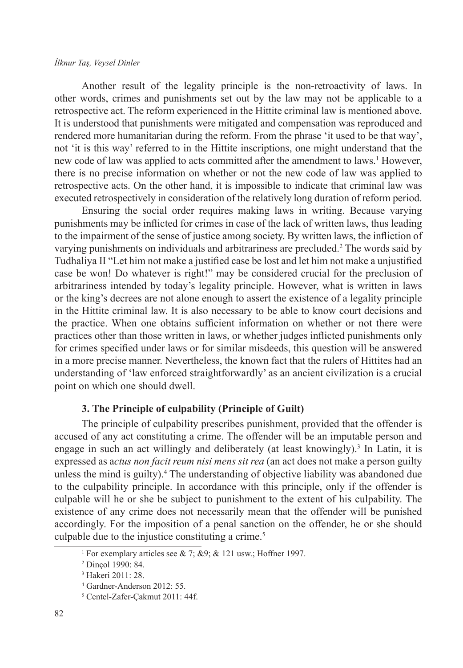#### *İlknur Taş, Veysel Dinler*

Another result of the legality principle is the non-retroactivity of laws. In other words, crimes and punishments set out by the law may not be applicable to a retrospective act. The reform experienced in the Hittite criminal law is mentioned above. It is understood that punishments were mitigated and compensation was reproduced and rendered more humanitarian during the reform. From the phrase 'it used to be that way', not 'it is this way' referred to in the Hittite inscriptions, one might understand that the new code of law was applied to acts committed after the amendment to laws.<sup>1</sup> However, there is no precise information on whether or not the new code of law was applied to retrospective acts. On the other hand, it is impossible to indicate that criminal law was executed retrospectively in consideration of the relatively long duration of reform period.

Ensuring the social order requires making laws in writing. Because varying punishments may be inflicted for crimes in case of the lack of written laws, thus leading to the impairment of the sense of justice among society. By written laws, the infliction of varying punishments on individuals and arbitrariness are precluded.<sup>2</sup> The words said by Tudhaliya II "Let him not make a justified case be lost and let him not make a unjustified case be won! Do whatever is right!" may be considered crucial for the preclusion of arbitrariness intended by today's legality principle. However, what is written in laws or the king's decrees are not alone enough to assert the existence of a legality principle in the Hittite criminal law. It is also necessary to be able to know court decisions and the practice. When one obtains sufficient information on whether or not there were practices other than those written in laws, or whether judges inflicted punishments only for crimes specified under laws or for similar misdeeds, this question will be answered in a more precise manner. Nevertheless, the known fact that the rulers of Hittites had an understanding of 'law enforced straightforwardly' as an ancient civilization is a crucial point on which one should dwell.

#### **3. The Principle of culpability (Principle of Guilt)**

The principle of culpability prescribes punishment, provided that the offender is accused of any act constituting a crime. The offender will be an imputable person and engage in such an act willingly and deliberately (at least knowingly).<sup>3</sup> In Latin, it is expressed as a*ctus non facit reum nisi mens sit rea* (an act does not make a person guilty unless the mind is guilty).<sup>4</sup> The understanding of objective liability was abandoned due to the culpability principle. In accordance with this principle, only if the offender is culpable will he or she be subject to punishment to the extent of his culpability. The existence of any crime does not necessarily mean that the offender will be punished accordingly. For the imposition of a penal sanction on the offender, he or she should culpable due to the injustice constituting a crime.<sup>5</sup>

<sup>1</sup> For exemplary articles see & 7; &9; & 121 usw.; Hoffner 1997.

<sup>2</sup> Dinçol 1990: 84.

<sup>3</sup> Hakeri 2011: 28.

<sup>4</sup> Gardner-Anderson 2012: 55.

<sup>5</sup> Centel-Zafer-Çakmut 2011: 44f.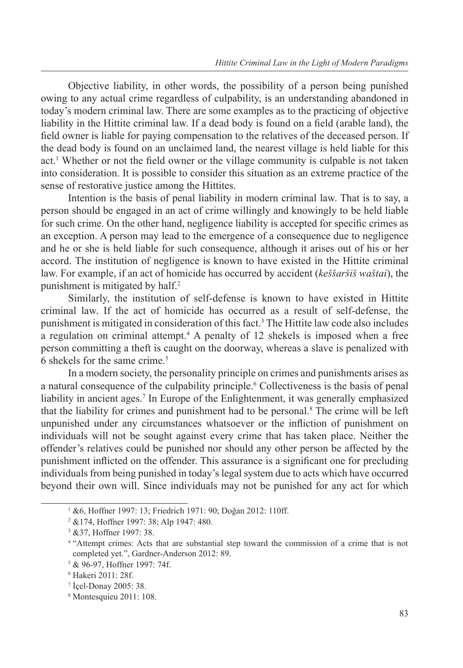Objective liability, in other words, the possibility of a person being punished owing to any actual crime regardless of culpability, is an understanding abandoned in today's modern criminal law. There are some examples as to the practicing of objective liability in the Hittite criminal law. If a dead body is found on a field (arable land), the field owner is liable for paying compensation to the relatives of the deceased person. If the dead body is found on an unclaimed land, the nearest village is held liable for this act.<sup>1</sup> Whether or not the field owner or the village community is culpable is not taken into consideration. It is possible to consider this situation as an extreme practice of the sense of restorative justice among the Hittites.

Intention is the basis of penal liability in modern criminal law. That is to say, a person should be engaged in an act of crime willingly and knowingly to be held liable for such crime. On the other hand, negligence liability is accepted for specific crimes as an exception. A person may lead to the emergence of a consequence due to negligence and he or she is held liable for such consequence, although it arises out of his or her accord. The institution of negligence is known to have existed in the Hittite criminal law. For example, if an act of homicide has occurred by accident (*keššaršiš waštai*), the punishment is mitigated by half.<sup>2</sup>

Similarly, the institution of self-defense is known to have existed in Hittite criminal law. If the act of homicide has occurred as a result of self-defense, the punishment is mitigated in consideration of this fact.<sup>3</sup> The Hittite law code also includes a regulation on criminal attempt.<sup>4</sup> A penalty of 12 shekels is imposed when a free person committing a theft is caught on the doorway, whereas a slave is penalized with 6 shekels for the same crime.5

In a modern society, the personality principle on crimes and punishments arises as a natural consequence of the culpability principle.<sup>6</sup> Collectiveness is the basis of penal liability in ancient ages.<sup>7</sup> In Europe of the Enlightenment, it was generally emphasized that the liability for crimes and punishment had to be personal.8 The crime will be left unpunished under any circumstances whatsoever or the infliction of punishment on individuals will not be sought against every crime that has taken place. Neither the offender's relatives could be punished nor should any other person be affected by the punishment inflicted on the offender. This assurance is a significant one for precluding individuals from being punished in today's legal system due to acts which have occurred beyond their own will. Since individuals may not be punished for any act for which

<sup>1</sup> &6, Hoffner 1997: 13; Friedrich 1971: 90; Doğan 2012: 110ff.

<sup>2</sup> &174, Hoffner 1997: 38; Alp 1947: 480.

<sup>3</sup> &37, Hoffner 1997: 38.

<sup>4</sup> "Attempt crimes: Acts that are substantial step toward the commission of a crime that is not completed yet.", Gardner-Anderson 2012: 89.

<sup>5</sup> & 96-97, Hoffner 1997: 74f.

<sup>6</sup> Hakeri 2011: 28f.

<sup>7</sup> İçel-Donay 2005: 38.

<sup>8</sup> Montesquieu 2011: 108.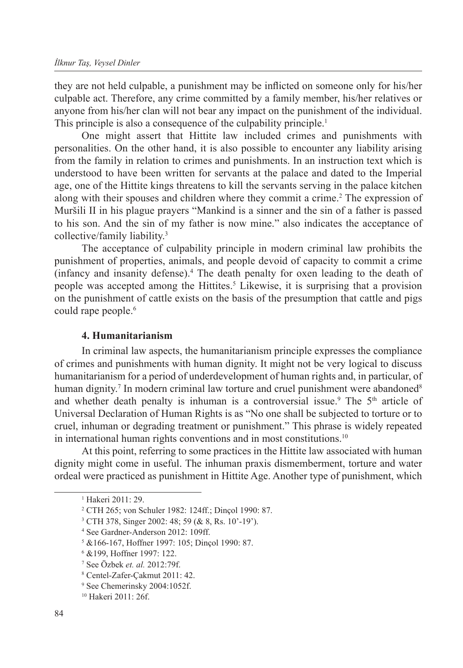they are not held culpable, a punishment may be inflicted on someone only for his/her culpable act. Therefore, any crime committed by a family member, his/her relatives or anyone from his/her clan will not bear any impact on the punishment of the individual. This principle is also a consequence of the culpability principle.<sup>1</sup>

One might assert that Hittite law included crimes and punishments with personalities. On the other hand, it is also possible to encounter any liability arising from the family in relation to crimes and punishments. In an instruction text which is understood to have been written for servants at the palace and dated to the Imperial age, one of the Hittite kings threatens to kill the servants serving in the palace kitchen along with their spouses and children where they commit a crime.<sup>2</sup> The expression of Muršili II in his plague prayers "Mankind is a sinner and the sin of a father is passed to his son. And the sin of my father is now mine." also indicates the acceptance of collective/family liability.3

The acceptance of culpability principle in modern criminal law prohibits the punishment of properties, animals, and people devoid of capacity to commit a crime (infancy and insanity defense).4 The death penalty for oxen leading to the death of people was accepted among the Hittites.<sup>5</sup> Likewise, it is surprising that a provision on the punishment of cattle exists on the basis of the presumption that cattle and pigs could rape people.<sup>6</sup>

#### **4. Humanitarianism**

In criminal law aspects, the humanitarianism principle expresses the compliance of crimes and punishments with human dignity. It might not be very logical to discuss humanitarianism for a period of underdevelopment of human rights and, in particular, of human dignity.<sup>7</sup> In modern criminal law torture and cruel punishment were abandoned<sup>8</sup> and whether death penalty is inhuman is a controversial issue.<sup>9</sup> The  $5<sup>th</sup>$  article of Universal Declaration of Human Rights is as "No one shall be subjected to torture or to cruel, inhuman or degrading treatment or punishment." This phrase is widely repeated in international human rights conventions and in most constitutions.10

At this point, referring to some practices in the Hittite law associated with human dignity might come in useful. The inhuman praxis dismemberment, torture and water ordeal were practiced as punishment in Hittite Age. Another type of punishment, which

<sup>3</sup> CTH 378, Singer 2002: 48; 59 (& 8, Rs. 10'-19').

<sup>1</sup> Hakeri 2011: 29.

<sup>2</sup> CTH 265; von Schuler 1982: 124ff.; Dinçol 1990: 87.

<sup>4</sup> See Gardner-Anderson 2012: 109ff.

<sup>5</sup> &166-167, Hoffner 1997: 105; Dinçol 1990: 87.

<sup>6</sup> &199, Hoffner 1997: 122.

<sup>7</sup> See Özbek *et. al.* 2012:79f.

<sup>8</sup> Centel-Zafer-Çakmut 2011: 42.

<sup>9</sup> See Chemerinsky 2004:1052f.

<sup>10</sup> Hakeri 2011: 26f.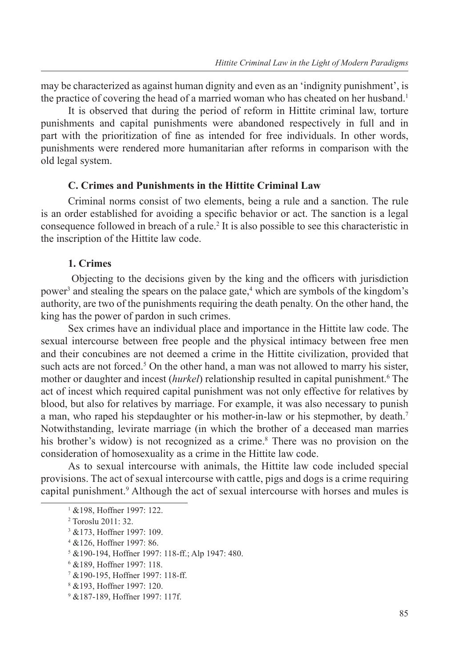may be characterized as against human dignity and even as an 'indignity punishment', is the practice of covering the head of a married woman who has cheated on her husband.<sup>1</sup>

It is observed that during the period of reform in Hittite criminal law, torture punishments and capital punishments were abandoned respectively in full and in part with the prioritization of fine as intended for free individuals. In other words, punishments were rendered more humanitarian after reforms in comparison with the old legal system.

#### **C. Crimes and Punishments in the Hittite Criminal Law**

Criminal norms consist of two elements, being a rule and a sanction. The rule is an order established for avoiding a specific behavior or act. The sanction is a legal consequence followed in breach of a rule.2 It is also possible to see this characteristic in the inscription of the Hittite law code.

#### **1. Crimes**

 Objecting to the decisions given by the king and the officers with jurisdiction power<sup>3</sup> and stealing the spears on the palace gate,<sup>4</sup> which are symbols of the kingdom's authority, are two of the punishments requiring the death penalty. On the other hand, the king has the power of pardon in such crimes.

Sex crimes have an individual place and importance in the Hittite law code. The sexual intercourse between free people and the physical intimacy between free men and their concubines are not deemed a crime in the Hittite civilization, provided that such acts are not forced.<sup>5</sup> On the other hand, a man was not allowed to marry his sister, mother or daughter and incest (*hurkel*) relationship resulted in capital punishment.<sup>6</sup> The act of incest which required capital punishment was not only effective for relatives by blood, but also for relatives by marriage. For example, it was also necessary to punish a man, who raped his stepdaughter or his mother-in-law or his stepmother, by death.7 Notwithstanding, levirate marriage (in which the brother of a deceased man marries his brother's widow) is not recognized as a crime.<sup>8</sup> There was no provision on the consideration of homosexuality as a crime in the Hittite law code.

As to sexual intercourse with animals, the Hittite law code included special provisions. The act of sexual intercourse with cattle, pigs and dogs is a crime requiring capital punishment.<sup>9</sup> Although the act of sexual intercourse with horses and mules is

- 7 &190-195, Hoffner 1997: 118-ff.
- <sup>8</sup> &193, Hoffner 1997: 120.

<sup>1</sup> &198, Hoffner 1997: 122.

<sup>2</sup> Toroslu 2011: 32.

<sup>3</sup> &173, Hoffner 1997: 109.

<sup>4</sup> &126, Hoffner 1997: 86.

<sup>5</sup> &190-194, Hoffner 1997: 118-ff.; Alp 1947: 480.

<sup>6</sup> &189, Hoffner 1997: 118.

<sup>9</sup> &187-189, Hoffner 1997: 117f.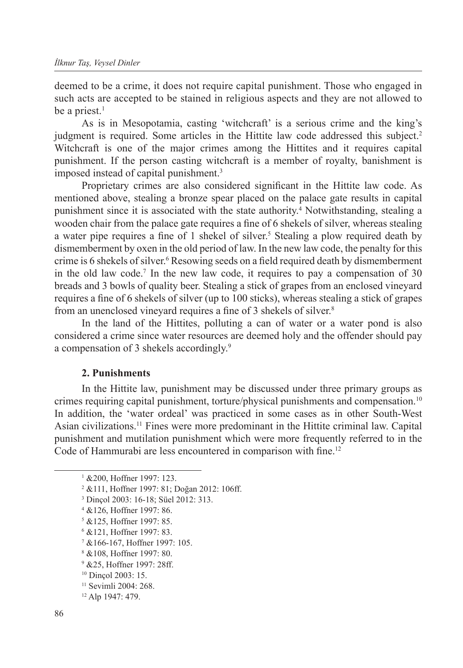deemed to be a crime, it does not require capital punishment. Those who engaged in such acts are accepted to be stained in religious aspects and they are not allowed to be a priest. $<sup>1</sup>$ </sup>

As is in Mesopotamia, casting 'witchcraft' is a serious crime and the king's judgment is required. Some articles in the Hittite law code addressed this subject.<sup>2</sup> Witchcraft is one of the major crimes among the Hittites and it requires capital punishment. If the person casting witchcraft is a member of royalty, banishment is imposed instead of capital punishment.<sup>3</sup>

Proprietary crimes are also considered significant in the Hittite law code. As mentioned above, stealing a bronze spear placed on the palace gate results in capital punishment since it is associated with the state authority.<sup>4</sup> Notwithstanding, stealing a wooden chair from the palace gate requires a fine of 6 shekels of silver, whereas stealing a water pipe requires a fine of 1 shekel of silver.<sup>5</sup> Stealing a plow required death by dismemberment by oxen in the old period of law. In the new law code, the penalty for this crime is 6 shekels of silver.<sup>6</sup> Resowing seeds on a field required death by dismemberment in the old law code.<sup>7</sup> In the new law code, it requires to pay a compensation of 30 breads and 3 bowls of quality beer. Stealing a stick of grapes from an enclosed vineyard requires a fine of 6 shekels of silver (up to 100 sticks), whereas stealing a stick of grapes from an unenclosed vineyard requires a fine of 3 shekels of silver.<sup>8</sup>

In the land of the Hittites, polluting a can of water or a water pond is also considered a crime since water resources are deemed holy and the offender should pay a compensation of 3 shekels accordingly.9

#### **2. Punishments**

In the Hittite law, punishment may be discussed under three primary groups as crimes requiring capital punishment, torture/physical punishments and compensation.10 In addition, the 'water ordeal' was practiced in some cases as in other South-West Asian civilizations.11 Fines were more predominant in the Hittite criminal law. Capital punishment and mutilation punishment which were more frequently referred to in the Code of Hammurabi are less encountered in comparison with fine.<sup>12</sup>

4 &126, Hoffner 1997: 86.

<sup>6</sup> &121, Hoffner 1997: 83.

<sup>&</sup>lt;sup>1</sup> & 200, Hoffner 1997: 123.

<sup>2</sup> &111, Hoffner 1997: 81; Doğan 2012: 106ff.

<sup>3</sup> Dinçol 2003: 16-18; Süel 2012: 313.

<sup>5</sup> &125, Hoffner 1997: 85.

<sup>7</sup> &166-167, Hoffner 1997: 105.

<sup>8</sup> &108, Hoffner 1997: 80.

<sup>9</sup> &25, Hoffner 1997: 28ff.

<sup>10</sup> Dinçol 2003: 15.

<sup>11</sup> Sevimli 2004: 268.

<sup>12</sup> Alp 1947: 479.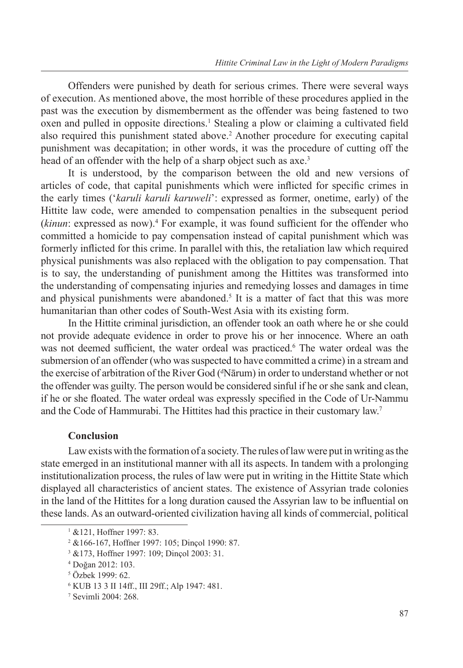Offenders were punished by death for serious crimes. There were several ways of execution. As mentioned above, the most horrible of these procedures applied in the past was the execution by dismemberment as the offender was being fastened to two oxen and pulled in opposite directions.<sup>1</sup> Stealing a plow or claiming a cultivated field also required this punishment stated above.<sup>2</sup> Another procedure for executing capital punishment was decapitation; in other words, it was the procedure of cutting off the head of an offender with the help of a sharp object such as axe.<sup>3</sup>

It is understood, by the comparison between the old and new versions of articles of code, that capital punishments which were inflicted for specific crimes in the early times ('*karuli karuli karuweli*': expressed as former, onetime, early) of the Hittite law code, were amended to compensation penalties in the subsequent period (*kinun*: expressed as now).<sup>4</sup> For example, it was found sufficient for the offender who committed a homicide to pay compensation instead of capital punishment which was formerly inflicted for this crime. In parallel with this, the retaliation law which required physical punishments was also replaced with the obligation to pay compensation. That is to say, the understanding of punishment among the Hittites was transformed into the understanding of compensating injuries and remedying losses and damages in time and physical punishments were abandoned.<sup>5</sup> It is a matter of fact that this was more humanitarian than other codes of South-West Asia with its existing form.

In the Hittite criminal jurisdiction, an offender took an oath where he or she could not provide adequate evidence in order to prove his or her innocence. Where an oath was not deemed sufficient, the water ordeal was practiced.<sup>6</sup> The water ordeal was the submersion of an offender (who was suspected to have committed a crime) in a stream and the exercise of arbitration of the River God (<sup>d</sup>Nārum) in order to understand whether or not the offender was guilty. The person would be considered sinful if he or she sank and clean, if he or she floated. The water ordeal was expressly specified in the Code of Ur-Nammu and the Code of Hammurabi. The Hittites had this practice in their customary law.7

#### **Conclusion**

Law exists with the formation of a society. The rules of law were put in writing as the state emerged in an institutional manner with all its aspects. In tandem with a prolonging institutionalization process, the rules of law were put in writing in the Hittite State which displayed all characteristics of ancient states. The existence of Assyrian trade colonies in the land of the Hittites for a long duration caused the Assyrian law to be influential on these lands. As an outward-oriented civilization having all kinds of commercial, political

<sup>1</sup> &121, Hoffner 1997: 83.

<sup>2</sup> &166-167, Hoffner 1997: 105; Dinçol 1990: 87.

<sup>3</sup> &173, Hoffner 1997: 109; Dinçol 2003: 31.

<sup>4</sup> Doğan 2012: 103.

<sup>5</sup> Özbek 1999: 62.

<sup>6</sup> KUB 13 3 II 14ff., III 29ff.; Alp 1947: 481.

<sup>7</sup> Sevimli 2004: 268.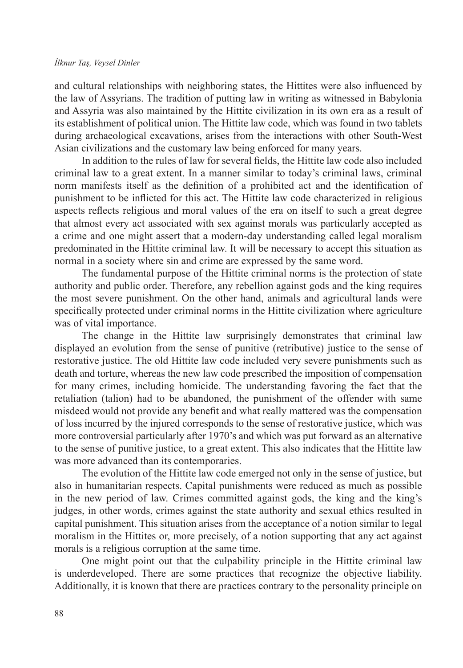and cultural relationships with neighboring states, the Hittites were also influenced by the law of Assyrians. The tradition of putting law in writing as witnessed in Babylonia and Assyria was also maintained by the Hittite civilization in its own era as a result of its establishment of political union. The Hittite law code, which was found in two tablets during archaeological excavations, arises from the interactions with other South-West Asian civilizations and the customary law being enforced for many years.

In addition to the rules of law for several fields, the Hittite law code also included criminal law to a great extent. In a manner similar to today's criminal laws, criminal norm manifests itself as the definition of a prohibited act and the identification of punishment to be inflicted for this act. The Hittite law code characterized in religious aspects reflects religious and moral values of the era on itself to such a great degree that almost every act associated with sex against morals was particularly accepted as a crime and one might assert that a modern-day understanding called legal moralism predominated in the Hittite criminal law. It will be necessary to accept this situation as normal in a society where sin and crime are expressed by the same word.

The fundamental purpose of the Hittite criminal norms is the protection of state authority and public order. Therefore, any rebellion against gods and the king requires the most severe punishment. On the other hand, animals and agricultural lands were specifically protected under criminal norms in the Hittite civilization where agriculture was of vital importance.

The change in the Hittite law surprisingly demonstrates that criminal law displayed an evolution from the sense of punitive (retributive) justice to the sense of restorative justice. The old Hittite law code included very severe punishments such as death and torture, whereas the new law code prescribed the imposition of compensation for many crimes, including homicide. The understanding favoring the fact that the retaliation (talion) had to be abandoned, the punishment of the offender with same misdeed would not provide any benefit and what really mattered was the compensation of loss incurred by the injured corresponds to the sense of restorative justice, which was more controversial particularly after 1970's and which was put forward as an alternative to the sense of punitive justice, to a great extent. This also indicates that the Hittite law was more advanced than its contemporaries.

The evolution of the Hittite law code emerged not only in the sense of justice, but also in humanitarian respects. Capital punishments were reduced as much as possible in the new period of law. Crimes committed against gods, the king and the king's judges, in other words, crimes against the state authority and sexual ethics resulted in capital punishment. This situation arises from the acceptance of a notion similar to legal moralism in the Hittites or, more precisely, of a notion supporting that any act against morals is a religious corruption at the same time.

One might point out that the culpability principle in the Hittite criminal law is underdeveloped. There are some practices that recognize the objective liability. Additionally, it is known that there are practices contrary to the personality principle on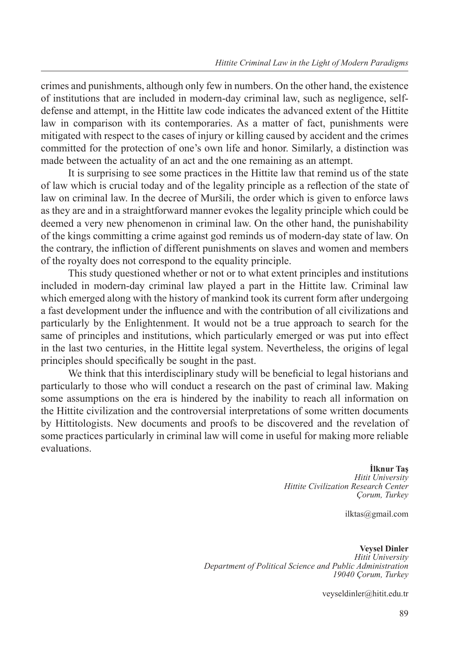crimes and punishments, although only few in numbers. On the other hand, the existence of institutions that are included in modern-day criminal law, such as negligence, selfdefense and attempt, in the Hittite law code indicates the advanced extent of the Hittite law in comparison with its contemporaries. As a matter of fact, punishments were mitigated with respect to the cases of injury or killing caused by accident and the crimes committed for the protection of one's own life and honor. Similarly, a distinction was made between the actuality of an act and the one remaining as an attempt.

It is surprising to see some practices in the Hittite law that remind us of the state of law which is crucial today and of the legality principle as a reflection of the state of law on criminal law. In the decree of Muršili, the order which is given to enforce laws as they are and in a straightforward manner evokes the legality principle which could be deemed a very new phenomenon in criminal law. On the other hand, the punishability of the kings committing a crime against god reminds us of modern-day state of law. On the contrary, the infliction of different punishments on slaves and women and members of the royalty does not correspond to the equality principle.

This study questioned whether or not or to what extent principles and institutions included in modern-day criminal law played a part in the Hittite law. Criminal law which emerged along with the history of mankind took its current form after undergoing a fast development under the influence and with the contribution of all civilizations and particularly by the Enlightenment. It would not be a true approach to search for the same of principles and institutions, which particularly emerged or was put into effect in the last two centuries, in the Hittite legal system. Nevertheless, the origins of legal principles should specifically be sought in the past.

We think that this interdisciplinary study will be beneficial to legal historians and particularly to those who will conduct a research on the past of criminal law. Making some assumptions on the era is hindered by the inability to reach all information on the Hittite civilization and the controversial interpretations of some written documents by Hittitologists. New documents and proofs to be discovered and the revelation of some practices particularly in criminal law will come in useful for making more reliable evaluations.

> **İlknur Taş** *Hitit University Hittite Civilization Research Center Çorum, Turkey*

> > ilktas@gmail.com

**Veysel Dinler** *Hitit University Department of Political Science and Public Administration 19040 Çorum, Turkey*

veyseldinler@hitit.edu.tr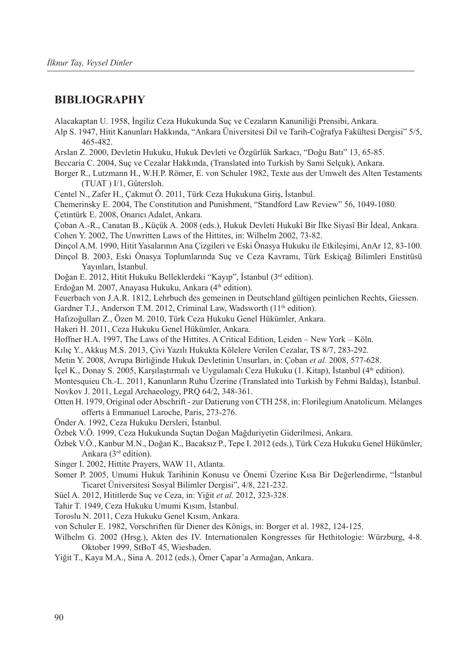#### **Bibliography**

Alacakaptan U. 1958, İngiliz Ceza Hukukunda Suç ve Cezaların Kanuniliği Prensibi, Ankara.

- Alp S. 1947, Hitit Kanunları Hakkında, "Ankara Üniversitesi Dil ve Tarih-Coğrafya Fakültesi Dergisi" 5/5, 465-482.
- Arslan Z. 2000, Devletin Hukuku, Hukuk Devleti ve Özgürlük Sarkacı, "Doğu Batı" 13, 65-85.
- Beccaria C. 2004, Suç ve Cezalar Hakkında, (Translated into Turkish by Sami Selçuk), Ankara.
- Borger R., Lutzmann H., W.H.P. Römer, E. von Schuler 1982, Texte aus der Umwelt des Alten Testaments (TUAT ) I/1, Gütersloh.
- Centel N., Zafer H., Çakmut Ö. 2011, Türk Ceza Hukukuna Giriş, İstanbul.

Chemerinsky E. 2004, The Constitution and Punishment, "Standford Law Review" 56, 1049-1080. Çetintürk E. 2008, Onarıcı Adalet, Ankara.

Çoban A.-R., Canatan B., Küçük A. 2008 (eds.), Hukuk Devleti Hukukî Bir İlke Siyasî Bir İdeal, Ankara. Cohen Y. 2002, The Unwritten Laws of the Hittites, in: Wilhelm 2002, 73-82.

- Dinçol A.M. 1990, Hitit Yasalarının Ana Çizgileri ve Eski Önasya Hukuku ile Etkileşimi, AnAr 12, 83-100.
- Dinçol B. 2003, Eski Önasya Toplumlarında Suç ve Ceza Kavramı, Türk Eskiçağ Bilimleri Enstitüsü Yayınları, İstanbul.
- Doğan E. 2012, Hitit Hukuku Belleklerdeki "Kayıp", İstanbul (3rd edition).
- Erdoğan M. 2007, Anayasa Hukuku, Ankara (4<sup>th</sup> edition).

Feuerbach von J.A.R. 1812, Lehrbuch des gemeinen in Deutschland gültigen peinlichen Rechts, Giessen.

Gardner T.J., Anderson T.M. 2012, Criminal Law, Wadsworth (11<sup>th</sup> edition).

- Hafızoğulları Z., Özen M. 2010, Türk Ceza Hukuku Genel Hükümler, Ankara.
- Hakeri H. 2011, Ceza Hukuku Genel Hükümler, Ankara.
- Hoffner H.A. 1997, The Laws of the Hittites. A Critical Edition, Leiden New York Köln.
- Kılıç Y., Akkuş M.S. 2013, Çivi Yazılı Hukukta Kölelere Verilen Cezalar, TS 8/7, 283-292.
- Metin Y. 2008, Avrupa Birliğinde Hukuk Devletinin Unsurları, in: Çoban *et al.* 2008, 577-628.
- İçel K., Donay S. 2005, Karşılaştırmalı ve Uygulamalı Ceza Hukuku (1. Kitap), İstanbul (4th edition).
- Montesquieu Ch.-L. 2011, Kanunların Ruhu Üzerine (Translated into Turkish by Fehmi Baldaş), İstanbul.

Novkov J. 2011, Legal Archaeology, PRQ 64/2, 348-361.

- Otten H. 1979, Original oder Abschrift zur Datierung von CTH 258, in: Florilegium Anatolicum. Mélanges offerts à Emmanuel Laroche, Paris, 273-276.
- Önder A. 1992, Ceza Hukuku Dersleri, İstanbul.
- Özbek V.Ö. 1999, Ceza Hukukunda Suçtan Doğan Mağduriyetin Giderilmesi, Ankara.
- Özbek V.Ö., Kanbur M.N., Doğan K., Bacaksız P., Tepe I. 2012 (eds.), Türk Ceza Hukuku Genel Hükümler, Ankara (3rd edition).
- Singer I. 2002, Hittite Prayers, WAW 11, Atlanta.
- Somer P. 2005, Umumi Hukuk Tarihinin Konusu ve Önemi Üzerine Kısa Bir Değerlendirme, "İstanbul Ticaret Üniversitesi Sosyal Bilimler Dergisi", 4/8, 221-232.
- Süel A. 2012, Hititlerde Suç ve Ceza, in: Yiğit *et al.* 2012, 323-328.

Tahir T. 1949, Ceza Hukuku Umumi Kısım, İstanbul.

- Toroslu N. 2011, Ceza Hukuku Genel Kısım, Ankara.
- von Schuler E. 1982, Vorschriften für Diener des Königs, in: Borger et al. 1982, 124-125.
- Wilhelm G. 2002 (Hrsg.), Akten des IV. Internationalen Kongresses für Hethitologie: Würzburg, 4-8. Oktober 1999, StBoT 45, Wiesbaden.
- Yiğit T., Kaya M.A., Sina A. 2012 (eds.), Ömer Çapar'a Armağan, Ankara.